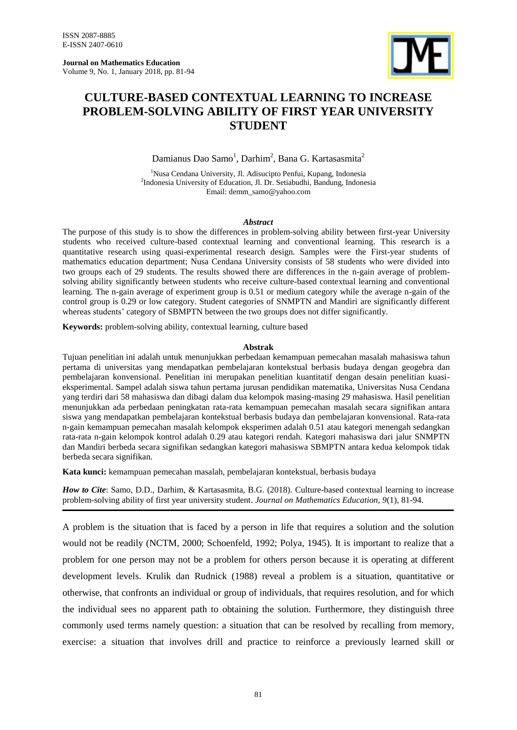**Journal on Mathematics Education** Volume 9, No. 1, January 2018, pp. 81-94



# **CULTURE-BASED CONTEXTUAL LEARNING TO INCREASE PROBLEM-SOLVING ABILITY OF FIRST YEAR UNIVERSITY STUDENT**

Damianus Dao Samo<sup>1</sup>, Darhim<sup>2</sup>, Bana G. Kartasasmita<sup>2</sup>

<sup>1</sup>Nusa Cendana University, Jl. Adisucipto Penfui, Kupang, Indonesia <sup>2</sup>Indonesia University of Education, Jl. Dr. Setiabudhi, Bandung, Indonesia Email: demm\_samo@yahoo.com

# *Abstract*

The purpose of this study is to show the differences in problem-solving ability between first-year University students who received culture-based contextual learning and conventional learning. This research is a quantitative research using quasi-experimental research design. Samples were the First-year students of mathematics education department; Nusa Cendana University consists of 58 students who were divided into two groups each of 29 students. The results showed there are differences in the n-gain average of problemsolving ability significantly between students who receive culture-based contextual learning and conventional learning. The n-gain average of experiment group is 0.51 or medium category while the average n-gain of the control group is 0.29 or low category. Student categories of SNMPTN and Mandiri are significantly different whereas students' category of SBMPTN between the two groups does not differ significantly.

**Keywords:** problem-solving ability, contextual learning, culture based

#### **Abstrak**

Tujuan penelitian ini adalah untuk menunjukkan perbedaan kemampuan pemecahan masalah mahasiswa tahun pertama di universitas yang mendapatkan pembelajaran kontekstual berbasis budaya dengan geogebra dan pembelajaran konvensional. Penelitian ini merupakan penelitian kuantitatif dengan desain penelitian kuasieksperimental. Sampel adalah siswa tahun pertama jurusan pendidikan matematika, Universitas Nusa Cendana yang terdiri dari 58 mahasiswa dan dibagi dalam dua kelompok masing-masing 29 mahasiswa. Hasil penelitian menunjukkan ada perbedaan peningkatan rata-rata kemampuan pemecahan masalah secara signifikan antara siswa yang mendapatkan pembelajaran kontekstual berbasis budaya dan pembelajaran konvensional. Rata-rata n-gain kemampuan pemecahan masalah kelompok eksperimen adalah 0.51 atau kategori menengah sedangkan rata-rata n-gain kelompok kontrol adalah 0.29 atau kategori rendah. Kategori mahasiswa dari jalur SNMPTN dan Mandiri berbeda secara signifikan sedangkan kategori mahasiswa SBMPTN antara kedua kelompok tidak berbeda secara signifikan.

**Kata kunci:** kemampuan pemecahan masalah, pembelajaran kontekstual, berbasis budaya

*How to Cite*: Samo, D.D., Darhim, & Kartasasmita, B.G. (2018). Culture-based contextual learning to increase problem-solving ability of first year university student. *Journal on Mathematics Education, 9*(1), 81-94.

A problem is the situation that is faced by a person in life that requires a solution and the solution would not be readily (NCTM, 2000; Schoenfeld, 1992; Polya, 1945). It is important to realize that a problem for one person may not be a problem for others person because it is operating at different development levels. Krulik dan Rudnick (1988) reveal a problem is a situation, quantitative or otherwise, that confronts an individual or group of individuals, that requires resolution, and for which the individual sees no apparent path to obtaining the solution. Furthermore, they distinguish three commonly used terms namely question: a situation that can be resolved by recalling from memory, exercise: a situation that involves drill and practice to reinforce a previously learned skill or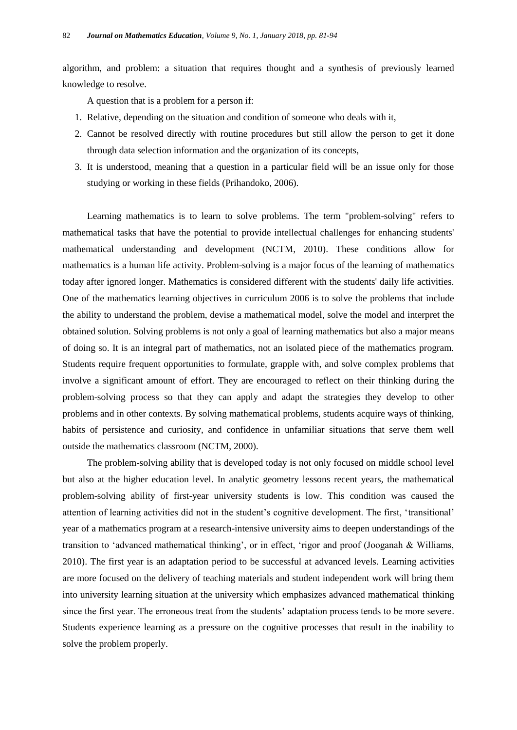algorithm, and problem: a situation that requires thought and a synthesis of previously learned knowledge to resolve.

A question that is a problem for a person if:

- 1. Relative, depending on the situation and condition of someone who deals with it,
- 2. Cannot be resolved directly with routine procedures but still allow the person to get it done through data selection information and the organization of its concepts,
- 3. It is understood, meaning that a question in a particular field will be an issue only for those studying or working in these fields (Prihandoko, 2006).

Learning mathematics is to learn to solve problems. The term "problem-solving" refers to mathematical tasks that have the potential to provide intellectual challenges for enhancing students' mathematical understanding and development (NCTM, 2010). These conditions allow for mathematics is a human life activity. Problem-solving is a major focus of the learning of mathematics today after ignored longer. Mathematics is considered different with the students' daily life activities. One of the mathematics learning objectives in curriculum 2006 is to solve the problems that include the ability to understand the problem, devise a mathematical model, solve the model and interpret the obtained solution. Solving problems is not only a goal of learning mathematics but also a major means of doing so. It is an integral part of mathematics, not an isolated piece of the mathematics program. Students require frequent opportunities to formulate, grapple with, and solve complex problems that involve a significant amount of effort. They are encouraged to reflect on their thinking during the problem-solving process so that they can apply and adapt the strategies they develop to other problems and in other contexts. By solving mathematical problems, students acquire ways of thinking, habits of persistence and curiosity, and confidence in unfamiliar situations that serve them well outside the mathematics classroom (NCTM, 2000).

The problem-solving ability that is developed today is not only focused on middle school level but also at the higher education level. In analytic geometry lessons recent years, the mathematical problem-solving ability of first-year university students is low. This condition was caused the attention of learning activities did not in the student"s cognitive development. The first, "transitional" year of a mathematics program at a research-intensive university aims to deepen understandings of the transition to "advanced mathematical thinking", or in effect, "rigor and proof (Jooganah & Williams, 2010). The first year is an adaptation period to be successful at advanced levels. Learning activities are more focused on the delivery of teaching materials and student independent work will bring them into university learning situation at the university which emphasizes advanced mathematical thinking since the first year. The erroneous treat from the students' adaptation process tends to be more severe. Students experience learning as a pressure on the cognitive processes that result in the inability to solve the problem properly.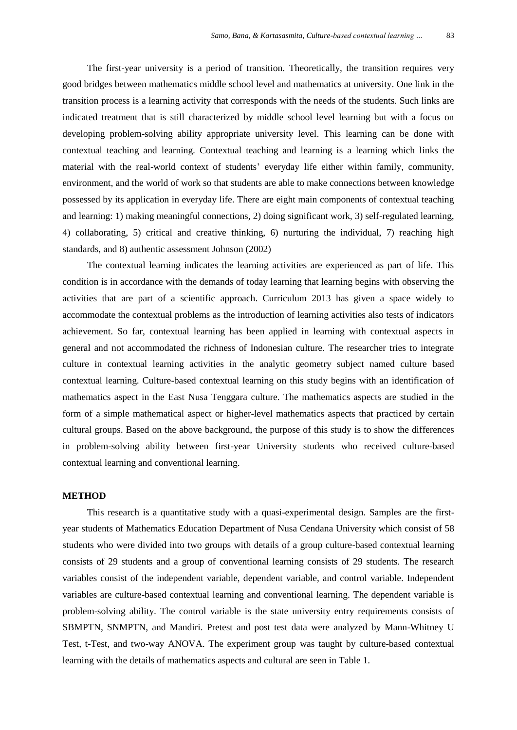The first-year university is a period of transition. Theoretically, the transition requires very good bridges between mathematics middle school level and mathematics at university. One link in the transition process is a learning activity that corresponds with the needs of the students. Such links are indicated treatment that is still characterized by middle school level learning but with a focus on developing problem-solving ability appropriate university level. This learning can be done with contextual teaching and learning. Contextual teaching and learning is a learning which links the material with the real-world context of students" everyday life either within family, community, environment, and the world of work so that students are able to make connections between knowledge possessed by its application in everyday life. There are eight main components of contextual teaching and learning: 1) making meaningful connections, 2) doing significant work, 3) self-regulated learning, 4) collaborating, 5) critical and creative thinking, 6) nurturing the individual, 7) reaching high standards, and 8) authentic assessment Johnson (2002)

The contextual learning indicates the learning activities are experienced as part of life. This condition is in accordance with the demands of today learning that learning begins with observing the activities that are part of a scientific approach. Curriculum 2013 has given a space widely to accommodate the contextual problems as the introduction of learning activities also tests of indicators achievement. So far, contextual learning has been applied in learning with contextual aspects in general and not accommodated the richness of Indonesian culture. The researcher tries to integrate culture in contextual learning activities in the analytic geometry subject named culture based contextual learning. Culture-based contextual learning on this study begins with an identification of mathematics aspect in the East Nusa Tenggara culture. The mathematics aspects are studied in the form of a simple mathematical aspect or higher-level mathematics aspects that practiced by certain cultural groups. Based on the above background, the purpose of this study is to show the differences in problem-solving ability between first-year University students who received culture-based contextual learning and conventional learning.

#### **METHOD**

This research is a quantitative study with a quasi-experimental design. Samples are the firstyear students of Mathematics Education Department of Nusa Cendana University which consist of 58 students who were divided into two groups with details of a group culture-based contextual learning consists of 29 students and a group of conventional learning consists of 29 students. The research variables consist of the independent variable, dependent variable, and control variable. Independent variables are culture-based contextual learning and conventional learning. The dependent variable is problem-solving ability. The control variable is the state university entry requirements consists of SBMPTN, SNMPTN, and Mandiri. Pretest and post test data were analyzed by Mann-Whitney U Test, t-Test, and two-way ANOVA. The experiment group was taught by culture-based contextual learning with the details of mathematics aspects and cultural are seen in Table 1.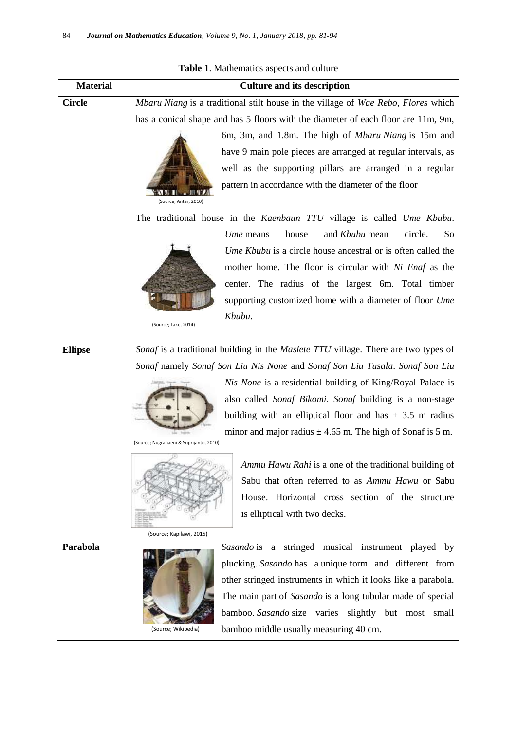| <b>Table 1.</b> Mathematics aspects and culture |                                                                                                               |                                                                                   |  |  |  |  |  |  |
|-------------------------------------------------|---------------------------------------------------------------------------------------------------------------|-----------------------------------------------------------------------------------|--|--|--|--|--|--|
| <b>Material</b>                                 | <b>Culture and its description</b>                                                                            |                                                                                   |  |  |  |  |  |  |
| <b>Circle</b>                                   | Mbaru Niang is a traditional stilt house in the village of Wae Rebo, Flores which                             |                                                                                   |  |  |  |  |  |  |
|                                                 |                                                                                                               | has a conical shape and has 5 floors with the diameter of each floor are 11m, 9m, |  |  |  |  |  |  |
|                                                 |                                                                                                               | 6m, 3m, and 1.8m. The high of <i>Mbaru Niang</i> is 15m and                       |  |  |  |  |  |  |
|                                                 |                                                                                                               | have 9 main pole pieces are arranged at regular intervals, as                     |  |  |  |  |  |  |
|                                                 |                                                                                                               | well as the supporting pillars are arranged in a regular                          |  |  |  |  |  |  |
|                                                 | (Source; Antar, 2010)                                                                                         | pattern in accordance with the diameter of the floor                              |  |  |  |  |  |  |
|                                                 | The traditional house in the Kaenbaun TTU village is called Ume Kbubu.                                        |                                                                                   |  |  |  |  |  |  |
|                                                 |                                                                                                               | Ume means<br>house<br>and Kbubu mean<br>circle.<br>So                             |  |  |  |  |  |  |
|                                                 | Ume Kbubu is a circle house ancestral or is often called the                                                  |                                                                                   |  |  |  |  |  |  |
|                                                 |                                                                                                               | mother home. The floor is circular with Ni Enaf as the                            |  |  |  |  |  |  |
|                                                 | center. The radius of the largest 6m. Total timber<br>supporting customized home with a diameter of floor Ume |                                                                                   |  |  |  |  |  |  |
|                                                 |                                                                                                               |                                                                                   |  |  |  |  |  |  |
|                                                 | (Source; Lake, 2014)                                                                                          | Kbubu.                                                                            |  |  |  |  |  |  |
| <b>Ellipse</b>                                  | Sonaf is a traditional building in the Maslete TTU village. There are two types of                            |                                                                                   |  |  |  |  |  |  |
|                                                 |                                                                                                               | Sonaf namely Sonaf Son Liu Nis None and Sonaf Son Liu Tusala. Sonaf Son Liu       |  |  |  |  |  |  |
|                                                 | Nis None is a residential building of King/Royal Palace is                                                    |                                                                                   |  |  |  |  |  |  |
|                                                 |                                                                                                               | also called Sonaf Bikomi. Sonaf building is a non-stage                           |  |  |  |  |  |  |
|                                                 |                                                                                                               | building with an elliptical floor and has $\pm$ 3.5 m radius                      |  |  |  |  |  |  |
|                                                 | minor and major radius $\pm$ 4.65 m. The high of Sonaf is 5 m.                                                |                                                                                   |  |  |  |  |  |  |
|                                                 | (Source; Nugrahaeni & Suprijanto, 2010)                                                                       |                                                                                   |  |  |  |  |  |  |
|                                                 |                                                                                                               | Ammu Hawu Rahi is a one of the traditional building of                            |  |  |  |  |  |  |
|                                                 |                                                                                                               | Sabu that often referred to as Ammu Hawu or Sabu                                  |  |  |  |  |  |  |
|                                                 |                                                                                                               | House. Horizontal cross section of the structure                                  |  |  |  |  |  |  |
|                                                 |                                                                                                               | is elliptical with two decks.                                                     |  |  |  |  |  |  |
|                                                 | (Source; Kapilawi, 2015)                                                                                      |                                                                                   |  |  |  |  |  |  |
| Parabola                                        |                                                                                                               | Sasando is a stringed musical instrument played by                                |  |  |  |  |  |  |
|                                                 |                                                                                                               | plucking. Sasando has a unique form and different from                            |  |  |  |  |  |  |
|                                                 |                                                                                                               | other stringed instruments in which it looks like a parabola.                     |  |  |  |  |  |  |
|                                                 |                                                                                                               | The main part of Sasando is a long tubular made of special                        |  |  |  |  |  |  |
|                                                 |                                                                                                               | bamboo. Sasando size varies slightly but most small                               |  |  |  |  |  |  |

bamboo middle usually measuring 40 cm.

Table 1. Mathematics aspects and culture

(Source; Wikipedia)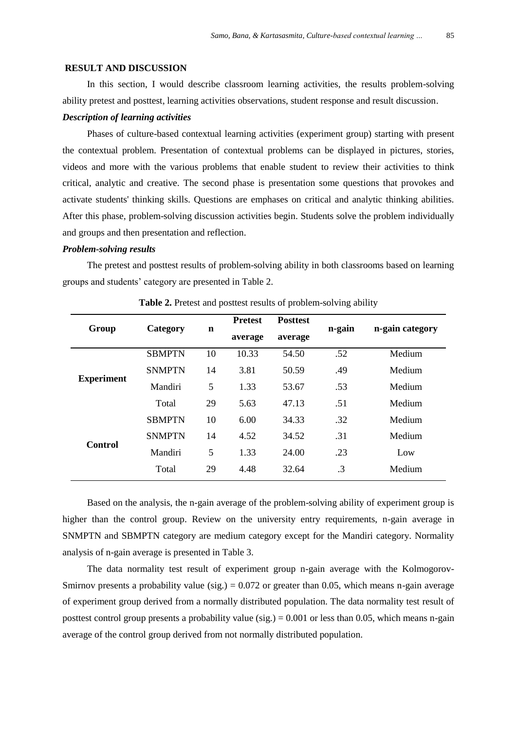#### **RESULT AND DISCUSSION**

In this section, I would describe classroom learning activities, the results problem-solving ability pretest and posttest, learning activities observations, student response and result discussion.

## *Description of learning activities*

Phases of culture-based contextual learning activities (experiment group) starting with present the contextual problem. Presentation of contextual problems can be displayed in pictures, stories, videos and more with the various problems that enable student to review their activities to think critical, analytic and creative. The second phase is presentation some questions that provokes and activate students' thinking skills. Questions are emphases on critical and analytic thinking abilities. After this phase, problem-solving discussion activities begin. Students solve the problem individually and groups and then presentation and reflection.

## *Problem-solving results*

The pretest and posttest results of problem-solving ability in both classrooms based on learning groups and students" category are presented in Table 2.

| Group             | Category      | n  | <b>Pretest</b> | <b>Posttest</b> | n-gain | n-gain category |  |
|-------------------|---------------|----|----------------|-----------------|--------|-----------------|--|
|                   |               |    | average        | average         |        |                 |  |
| <b>Experiment</b> | <b>SBMPTN</b> | 10 | 10.33          | 54.50           | .52    | Medium          |  |
|                   | <b>SNMPTN</b> | 14 | 3.81           | 50.59           | .49    | <b>Medium</b>   |  |
|                   | Mandiri       | 5  | 1.33           | 53.67           | .53    | Medium          |  |
|                   | Total         | 29 | 5.63           | 47.13           | .51    | Medium          |  |
|                   | <b>SBMPTN</b> | 10 | 6.00           | 34.33           | .32    | <b>Medium</b>   |  |
| Control           | <b>SNMPTN</b> | 14 | 4.52           | 34.52           | .31    | Medium          |  |
|                   | Mandiri       | 5  | 1.33           | 24.00           | .23    | Low             |  |
|                   | Total         | 29 | 4.48           | 32.64           | .3     | Medium          |  |

**Table 2.** Pretest and posttest results of problem-solving ability

Based on the analysis, the n-gain average of the problem-solving ability of experiment group is higher than the control group. Review on the university entry requirements, n-gain average in SNMPTN and SBMPTN category are medium category except for the Mandiri category. Normality analysis of n-gain average is presented in Table 3.

The data normality test result of experiment group n-gain average with the Kolmogorov-Smirnov presents a probability value (sig.) =  $0.072$  or greater than 0.05, which means n-gain average of experiment group derived from a normally distributed population. The data normality test result of posttest control group presents a probability value (sig.) =  $0.001$  or less than 0.05, which means n-gain average of the control group derived from not normally distributed population.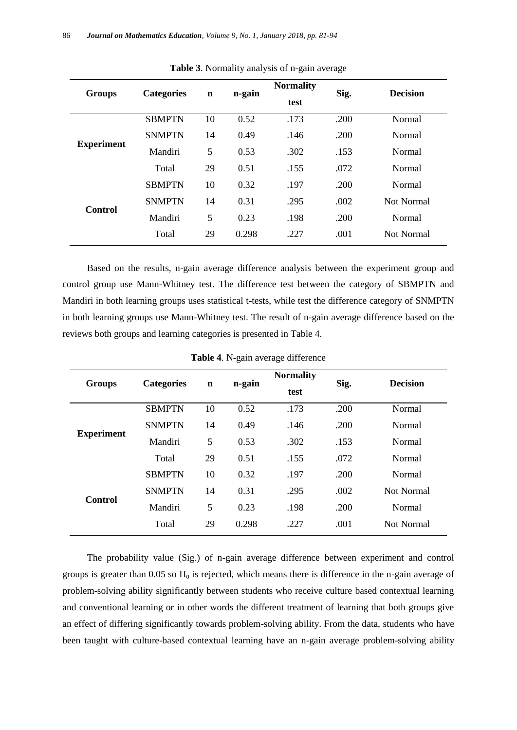| <b>Groups</b>     | <b>Categories</b> | n-gain<br>$\mathbf n$<br>test |       | <b>Normality</b> | Sig. | <b>Decision</b> |  |
|-------------------|-------------------|-------------------------------|-------|------------------|------|-----------------|--|
|                   | <b>SBMPTN</b>     | 10                            | 0.52  | .173<br>.200     |      | Normal          |  |
|                   | <b>SNMPTN</b>     | 14                            | 0.49  | .146             | .200 | <b>Normal</b>   |  |
| <b>Experiment</b> | Mandiri           | 5                             | 0.53  | .302             | .153 | Normal          |  |
|                   | Total             | 29                            | 0.51  | .155             | .072 | Normal          |  |
|                   | <b>SBMPTN</b>     | 10                            | 0.32  | .197             | .200 | <b>Normal</b>   |  |
|                   | <b>SNMPTN</b>     | 14                            | 0.31  | .295             | .002 | Not Normal      |  |
| Control           | Mandiri           | 5                             | 0.23  | .198             | .200 | Normal          |  |
|                   | Total             | 29                            | 0.298 | .227             | .001 | Not Normal      |  |

**Table 3**. Normality analysis of n-gain average

Based on the results, n-gain average difference analysis between the experiment group and control group use Mann-Whitney test. The difference test between the category of SBMPTN and Mandiri in both learning groups uses statistical t-tests, while test the difference category of SNMPTN in both learning groups use Mann-Whitney test. The result of n-gain average difference based on the reviews both groups and learning categories is presented in Table 4.

| <b>Groups</b>     | <b>Categories</b> | $\mathbf n$ | n-gain | <b>Normality</b><br>test | Sig. | <b>Decision</b> |  |
|-------------------|-------------------|-------------|--------|--------------------------|------|-----------------|--|
| <b>Experiment</b> | <b>SBMPTN</b>     | 10          | 0.52   | .173                     | .200 | Normal          |  |
|                   | <b>SNMPTN</b>     | 14          | 0.49   | .146                     | .200 | Normal          |  |
|                   | Mandiri           | 5           | 0.53   | .302                     | .153 | Normal          |  |
|                   | Total             | 29          | 0.51   | .155                     | .072 | Normal          |  |
| Control           | <b>SBMPTN</b>     | 10          | 0.32   | .197                     | .200 | Normal          |  |
|                   | <b>SNMPTN</b>     | 14          | 0.31   | .295                     | .002 | Not Normal      |  |
|                   | Mandiri           | 5           | 0.23   | .198                     | .200 | Normal          |  |
|                   | Total             | 29          | 0.298  | .227                     | .001 | Not Normal      |  |

**Table 4**. N-gain average difference

The probability value (Sig.) of n-gain average difference between experiment and control groups is greater than  $0.05$  so  $H_0$  is rejected, which means there is difference in the n-gain average of problem-solving ability significantly between students who receive culture based contextual learning and conventional learning or in other words the different treatment of learning that both groups give an effect of differing significantly towards problem-solving ability. From the data, students who have been taught with culture-based contextual learning have an n-gain average problem-solving ability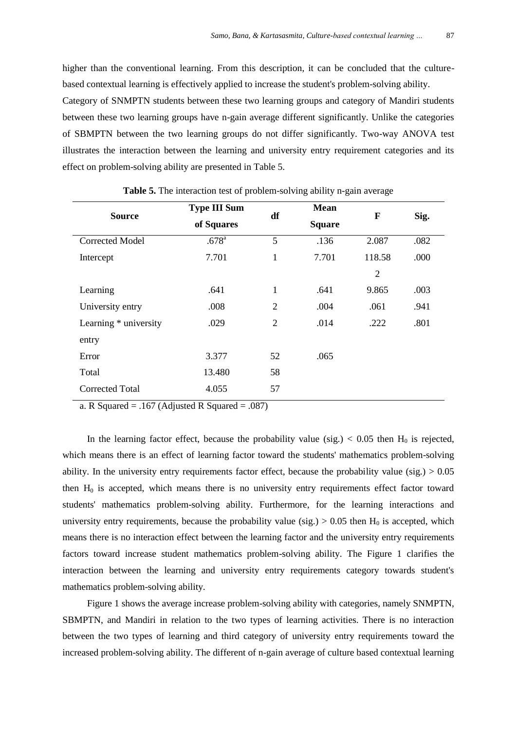higher than the conventional learning. From this description, it can be concluded that the culturebased contextual learning is effectively applied to increase the student's problem-solving ability.

Category of SNMPTN students between these two learning groups and category of Mandiri students between these two learning groups have n-gain average different significantly. Unlike the categories of SBMPTN between the two learning groups do not differ significantly. Two-way ANOVA test illustrates the interaction between the learning and university entry requirement categories and its effect on problem-solving ability are presented in Table 5.

| <b>Source</b>          | <b>Type III Sum</b><br>of Squares | df           | <b>Mean</b><br><b>Square</b> | F              | Sig. |
|------------------------|-----------------------------------|--------------|------------------------------|----------------|------|
| <b>Corrected Model</b> | .678 <sup>a</sup>                 | 5            | .136                         | 2.087          | .082 |
| Intercept              | 7.701                             | $\mathbf{1}$ | 7.701                        | 118.58         | .000 |
|                        |                                   |              |                              | $\overline{2}$ |      |
| Learning               | .641                              | $\mathbf{1}$ | .641                         | 9.865          | .003 |
| University entry       | .008                              | 2            | .004                         | .061           | .941 |
| Learning * university  | .029                              | 2            | .014                         | .222           | .801 |
| entry                  |                                   |              |                              |                |      |
| Error                  | 3.377                             | 52           | .065                         |                |      |
| Total                  | 13.480                            | 58           |                              |                |      |
| Corrected Total        | 4.055                             | 57           |                              |                |      |

**Table 5.** The interaction test of problem-solving ability n-gain average

a. R Squared  $= .167$  (Adjusted R Squared  $= .087$ )

In the learning factor effect, because the probability value (sig.)  $< 0.05$  then H<sub>0</sub> is rejected, which means there is an effect of learning factor toward the students' mathematics problem-solving ability. In the university entry requirements factor effect, because the probability value (sig.)  $> 0.05$ then  $H_0$  is accepted, which means there is no university entry requirements effect factor toward students' mathematics problem-solving ability. Furthermore, for the learning interactions and university entry requirements, because the probability value (sig.)  $> 0.05$  then H<sub>0</sub> is accepted, which means there is no interaction effect between the learning factor and the university entry requirements factors toward increase student mathematics problem-solving ability. The Figure 1 clarifies the interaction between the learning and university entry requirements category towards student's mathematics problem-solving ability.

Figure 1 shows the average increase problem-solving ability with categories, namely SNMPTN, SBMPTN, and Mandiri in relation to the two types of learning activities. There is no interaction between the two types of learning and third category of university entry requirements toward the increased problem-solving ability. The different of n-gain average of culture based contextual learning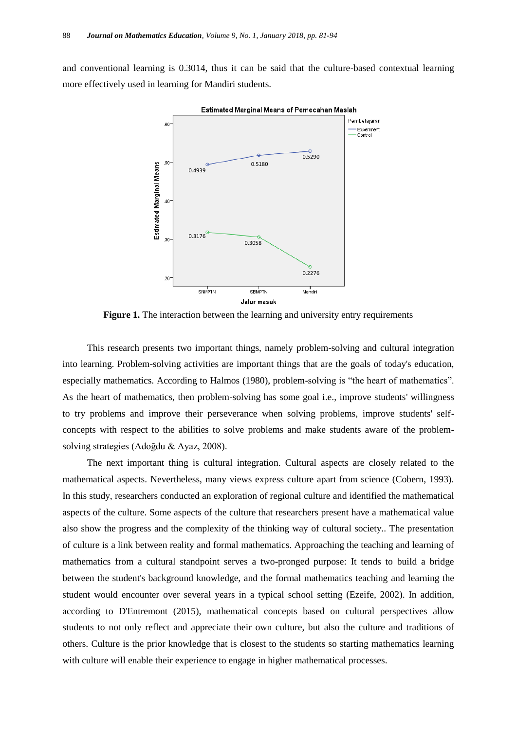and conventional learning is 0.3014, thus it can be said that the culture-based contextual learning more effectively used in learning for Mandiri students.



**Figure 1.** The interaction between the learning and university entry requirements

This research presents two important things, namely problem-solving and cultural integration into learning. Problem-solving activities are important things that are the goals of today's education, especially mathematics. According to Halmos (1980), problem-solving is "the heart of mathematics". As the heart of mathematics, then problem-solving has some goal i.e., improve students' willingness to try problems and improve their perseverance when solving problems, improve students' selfconcepts with respect to the abilities to solve problems and make students aware of the problemsolving strategies (Adoğdu & Ayaz, 2008).

The next important thing is cultural integration. Cultural aspects are closely related to the mathematical aspects. Nevertheless, many views express culture apart from science (Cobern, 1993). In this study, researchers conducted an exploration of regional culture and identified the mathematical aspects of the culture. Some aspects of the culture that researchers present have a mathematical value also show the progress and the complexity of the thinking way of cultural society.. The presentation of culture is a link between reality and formal mathematics. Approaching the teaching and learning of mathematics from a cultural standpoint serves a two-pronged purpose: It tends to build a bridge between the student's background knowledge, and the formal mathematics teaching and learning the student would encounter over several years in a typical school setting (Ezeife, 2002). In addition, according to D'Entremont (2015), mathematical concepts based on cultural perspectives allow students to not only reflect and appreciate their own culture, but also the culture and traditions of others. Culture is the prior knowledge that is closest to the students so starting mathematics learning with culture will enable their experience to engage in higher mathematical processes.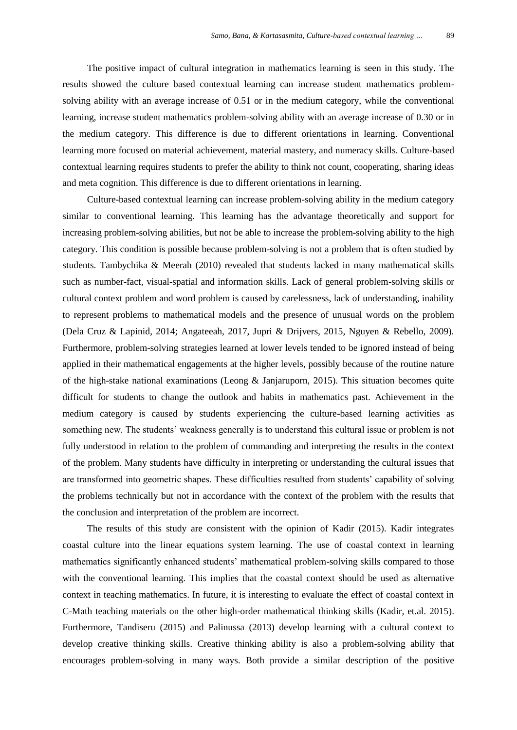The positive impact of cultural integration in mathematics learning is seen in this study. The results showed the culture based contextual learning can increase student mathematics problemsolving ability with an average increase of 0.51 or in the medium category, while the conventional learning, increase student mathematics problem-solving ability with an average increase of 0.30 or in the medium category. This difference is due to different orientations in learning. Conventional learning more focused on material achievement, material mastery, and numeracy skills. Culture-based contextual learning requires students to prefer the ability to think not count, cooperating, sharing ideas and meta cognition. This difference is due to different orientations in learning.

Culture-based contextual learning can increase problem-solving ability in the medium category similar to conventional learning. This learning has the advantage theoretically and support for increasing problem-solving abilities, but not be able to increase the problem-solving ability to the high category. This condition is possible because problem-solving is not a problem that is often studied by students. Tambychika & Meerah (2010) revealed that students lacked in many mathematical skills such as number-fact, visual-spatial and information skills. Lack of general problem-solving skills or cultural context problem and word problem is caused by carelessness, lack of understanding, inability to represent problems to mathematical models and the presence of unusual words on the problem (Dela Cruz & Lapinid, 2014; Angateeah, 2017, Jupri & Drijvers, 2015, Nguyen & Rebello, 2009). Furthermore, problem-solving strategies learned at lower levels tended to be ignored instead of being applied in their mathematical engagements at the higher levels, possibly because of the routine nature of the high-stake national examinations (Leong & Janjaruporn, 2015). This situation becomes quite difficult for students to change the outlook and habits in mathematics past. Achievement in the medium category is caused by students experiencing the culture-based learning activities as something new. The students' weakness generally is to understand this cultural issue or problem is not fully understood in relation to the problem of commanding and interpreting the results in the context of the problem. Many students have difficulty in interpreting or understanding the cultural issues that are transformed into geometric shapes. These difficulties resulted from students" capability of solving the problems technically but not in accordance with the context of the problem with the results that the conclusion and interpretation of the problem are incorrect.

The results of this study are consistent with the opinion of Kadir (2015). Kadir integrates coastal culture into the linear equations system learning. The use of coastal context in learning mathematics significantly enhanced students" mathematical problem-solving skills compared to those with the conventional learning. This implies that the coastal context should be used as alternative context in teaching mathematics. In future, it is interesting to evaluate the effect of coastal context in C-Math teaching materials on the other high-order mathematical thinking skills (Kadir, et.al. 2015). Furthermore, Tandiseru (2015) and Palinussa (2013) develop learning with a cultural context to develop creative thinking skills. Creative thinking ability is also a problem-solving ability that encourages problem-solving in many ways. Both provide a similar description of the positive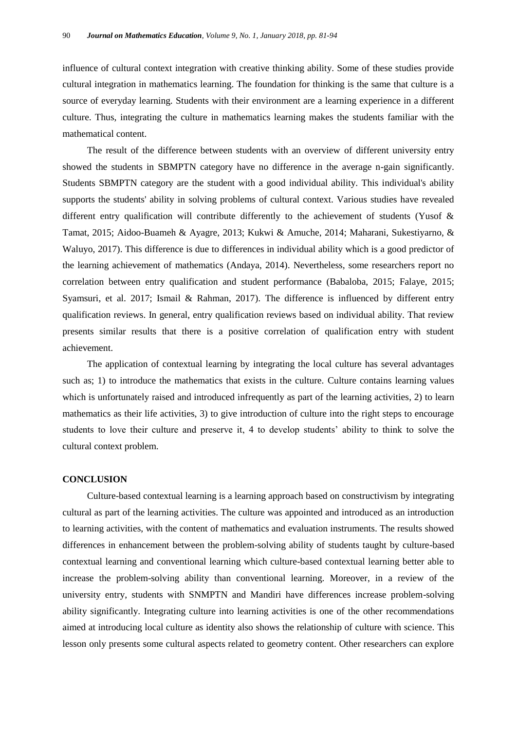influence of cultural context integration with creative thinking ability. Some of these studies provide cultural integration in mathematics learning. The foundation for thinking is the same that culture is a source of everyday learning. Students with their environment are a learning experience in a different culture. Thus, integrating the culture in mathematics learning makes the students familiar with the mathematical content.

The result of the difference between students with an overview of different university entry showed the students in SBMPTN category have no difference in the average n-gain significantly. Students SBMPTN category are the student with a good individual ability. This individual's ability supports the students' ability in solving problems of cultural context. Various studies have revealed different entry qualification will contribute differently to the achievement of students (Yusof & Tamat, 2015; Aidoo-Buameh & Ayagre, 2013; Kukwi & Amuche, 2014; Maharani, Sukestiyarno, & Waluyo, 2017). This difference is due to differences in individual ability which is a good predictor of the learning achievement of mathematics (Andaya, 2014). Nevertheless, some researchers report no correlation between entry qualification and student performance (Babaloba, 2015; Falaye, 2015; Syamsuri, et al. 2017; Ismail & Rahman, 2017). The difference is influenced by different entry qualification reviews. In general, entry qualification reviews based on individual ability. That review presents similar results that there is a positive correlation of qualification entry with student achievement.

The application of contextual learning by integrating the local culture has several advantages such as; 1) to introduce the mathematics that exists in the culture. Culture contains learning values which is unfortunately raised and introduced infrequently as part of the learning activities, 2) to learn mathematics as their life activities, 3) to give introduction of culture into the right steps to encourage students to love their culture and preserve it, 4 to develop students" ability to think to solve the cultural context problem.

## **CONCLUSION**

Culture-based contextual learning is a learning approach based on constructivism by integrating cultural as part of the learning activities. The culture was appointed and introduced as an introduction to learning activities, with the content of mathematics and evaluation instruments. The results showed differences in enhancement between the problem-solving ability of students taught by culture-based contextual learning and conventional learning which culture-based contextual learning better able to increase the problem-solving ability than conventional learning. Moreover, in a review of the university entry, students with SNMPTN and Mandiri have differences increase problem-solving ability significantly. Integrating culture into learning activities is one of the other recommendations aimed at introducing local culture as identity also shows the relationship of culture with science. This lesson only presents some cultural aspects related to geometry content. Other researchers can explore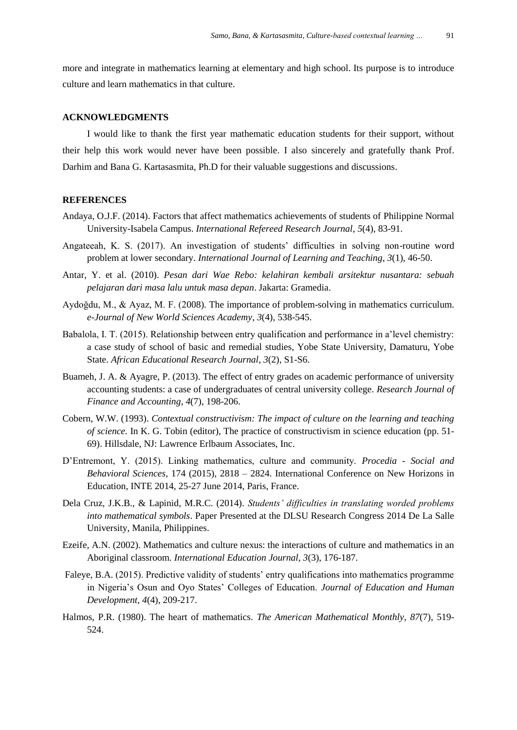more and integrate in mathematics learning at elementary and high school. Its purpose is to introduce culture and learn mathematics in that culture.

## **ACKNOWLEDGMENTS**

I would like to thank the first year mathematic education students for their support, without their help this work would never have been possible. I also sincerely and gratefully thank Prof. Darhim and Bana G. Kartasasmita, Ph.D for their valuable suggestions and discussions.

## **REFERENCES**

- Andaya, O.J.F. (2014). Factors that affect mathematics achievements of students of Philippine Normal University-Isabela Campus. *International Refereed Research Journal, 5*(4), 83-91.
- Angateeah, K. S. (2017). An investigation of students" difficulties in solving non-routine word problem at lower secondary. *International Journal of Learning and Teaching*, *3*(1), 46-50.
- Antar, Y. et al. (2010). *Pesan dari Wae Rebo: kelahiran kembali arsitektur nusantara: sebuah pelajaran dari masa lalu untuk masa depan*. Jakarta: Gramedia.
- Aydoğdu, M., & Ayaz, M. F. (2008). The importance of problem-solving in mathematics curriculum. *e-Journal of New World Sciences Academy*, *3*(4), 538-545.
- Babalola, I. T. (2015). Relationship between entry qualification and performance in a"level chemistry: a case study of school of basic and remedial studies, Yobe State University, Damaturu, Yobe State. *African Educational Research Journal*, *3*(2), S1-S6.
- Buameh, J. A. & Ayagre, P. (2013). The effect of entry grades on academic performance of university accounting students: a case of undergraduates of central university college. *Research Journal of Finance and Accounting*, *4*(7), 198-206.
- Cobern, W.W. (1993). *Contextual constructivism: The impact of culture on the learning and teaching of science.* In K. G. Tobin (editor), The practice of constructivism in science education (pp. 51- 69). Hillsdale, NJ: Lawrence Erlbaum Associates, Inc.
- D"Entremont, Y. (2015). Linking mathematics, culture and community. *Procedia - Social and Behavioral Sciences,* 174 (2015), 2818 – 2824. International Conference on New Horizons in Education, INTE 2014, 25-27 June 2014, Paris, France.
- Dela Cruz, J.K.B., & Lapinid, M.R.C. (2014). *Students' difficulties in translating worded problems into mathematical symbols*. Paper Presented at the DLSU Research Congress 2014 De La Salle University, Manila, Philippines.
- Ezeife, A.N. (2002). Mathematics and culture nexus: the interactions of culture and mathematics in an Aboriginal classroom. *International Education Journal*, *3*(3), 176-187.
- Faleye, B.A. (2015). Predictive validity of students' entry qualifications into mathematics programme in Nigeria"s Osun and Oyo States" Colleges of Education. *Journal of Education and Human Development, 4*(4), 209-217.
- Halmos, P.R. (1980). The heart of mathematics. *The American Mathematical Monthly*, *87*(7), 519- 524.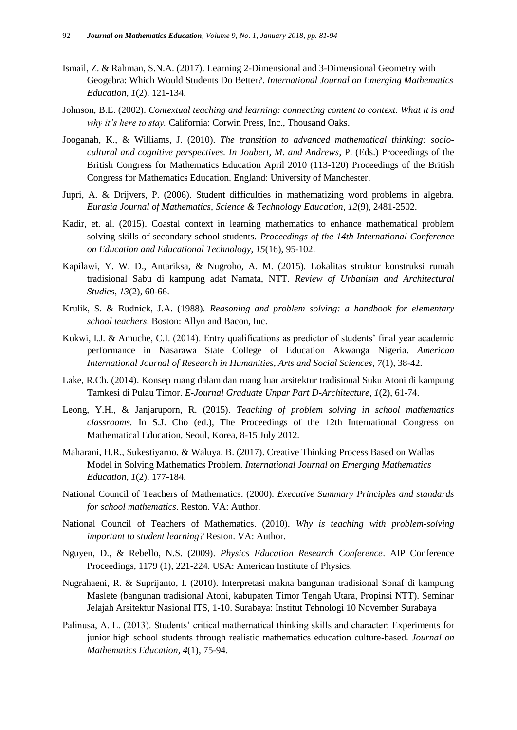- Ismail, Z. & Rahman, S.N.A. (2017). Learning 2-Dimensional and 3-Dimensional Geometry with Geogebra: Which Would Students Do Better?. *International Journal on Emerging Mathematics Education*, *1*(2), 121-134.
- Johnson, B.E. (2002). *Contextual teaching and learning: connecting content to context. What it is and why it's here to stay.* California: Corwin Press, Inc., Thousand Oaks.
- Jooganah, K., & Williams, J. (2010). *The transition to advanced mathematical thinking: sociocultural and cognitive perspectives. In Joubert, M. and Andrews*, P. (Eds.) Proceedings of the British Congress for Mathematics Education April 2010 (113-120) Proceedings of the British Congress for Mathematics Education. England: University of Manchester.
- Jupri, A. & Drijvers, P. (2006). Student difficulties in mathematizing word problems in algebra. *Eurasia Journal of Mathematics, Science & Technology Education*, *12*(9), 2481-2502.
- Kadir, et. al. (2015). Coastal context in learning mathematics to enhance mathematical problem solving skills of secondary school students. *Proceedings of the 14th International Conference on Education and Educational Technology*, *15*(16), 95-102.
- Kapilawi, Y. W. D., Antariksa, & Nugroho, A. M. (2015). Lokalitas struktur konstruksi rumah tradisional Sabu di kampung adat Namata, NTT. *Review of Urbanism and Architectural Studies*, *13*(2), 60-66.
- Krulik, S. & Rudnick, J.A. (1988). *Reasoning and problem solving: a handbook for elementary school teachers*. Boston: Allyn and Bacon, Inc.
- Kukwi, I.J. & Amuche, C.I. (2014). Entry qualifications as predictor of students' final year academic performance in Nasarawa State College of Education Akwanga Nigeria. *American International Journal of Research in Humanities, Arts and Social Sciences*, *7*(1), 38-42.
- Lake, R.Ch. (2014). Konsep ruang dalam dan ruang luar arsitektur tradisional Suku Atoni di kampung Tamkesi di Pulau Timor. *E-Journal Graduate Unpar Part D-Architecture, 1*(2), 61-74.
- Leong, Y.H., & Janjaruporn, R. (2015). *Teaching of problem solving in school mathematics classrooms.* In S.J. Cho (ed.), The Proceedings of the 12th International Congress on Mathematical Education, Seoul, Korea, 8-15 July 2012.
- Maharani, H.R., Sukestiyarno, & Waluya, B. (2017). Creative Thinking Process Based on Wallas Model in Solving Mathematics Problem. *International Journal on Emerging Mathematics Education*, *1*(2), 177-184.
- National Council of Teachers of Mathematics. (2000). *Executive Summary Principles and standards for school mathematics*. Reston. VA: Author.
- National Council of Teachers of Mathematics. (2010). *Why is teaching with problem-solving important to student learning?* Reston. VA: Author.
- Nguyen, D., & Rebello, N.S. (2009). *Physics Education Research Conference*. AIP Conference Proceedings, 1179 (1), 221-224. USA: American Institute of Physics.
- Nugrahaeni, R. & Suprijanto, I. (2010). Interpretasi makna bangunan tradisional Sonaf di kampung Maslete (bangunan tradisional Atoni, kabupaten Timor Tengah Utara, Propinsi NTT). Seminar Jelajah Arsitektur Nasional ITS, 1-10. Surabaya: Institut Tehnologi 10 November Surabaya
- Palinusa, A. L. (2013). Students" critical mathematical thinking skills and character: Experiments for junior high school students through realistic mathematics education culture-based. *Journal on Mathematics Education*, *4*(1), 75-94.